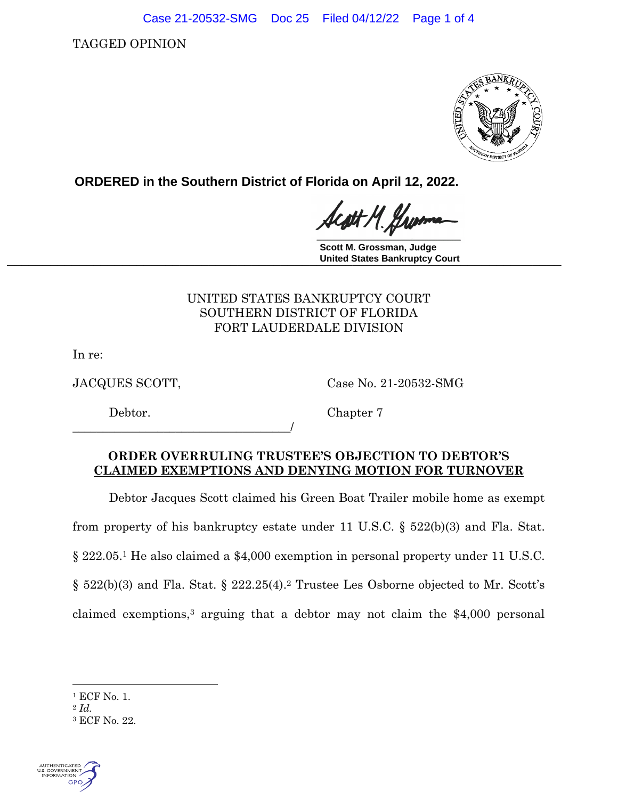Case 21-20532-SMG Doc 25 Filed 04/12/22 Page 1 of 4

TAGGED OPINION



**ORDERED in the Southern District of Florida on April 12, 2022.**

H. Hw

**Scott M. Grossman, Judge \_\_\_\_\_\_\_\_\_\_\_\_\_\_\_\_\_\_\_\_\_\_\_\_\_\_\_\_\_\_\_\_\_\_\_\_\_\_\_\_\_\_\_\_\_\_\_\_\_\_\_\_\_\_\_\_\_\_\_\_\_\_\_\_\_\_\_\_\_\_\_\_\_\_\_\_\_ United States Bankruptcy Court**

## UNITED STATES BANKRUPTCY COURT SOUTHERN DISTRICT OF FLORIDA FORT LAUDERDALE DIVISION

In re:

JACQUES SCOTT, Case No. 21-20532-SMG

\_\_\_\_\_\_\_\_\_\_\_\_\_\_\_\_\_\_\_\_\_\_\_\_\_\_\_\_\_\_\_\_\_\_\_\_/

Debtor. Chapter 7

## **ORDER OVERRULING TRUSTEE'S OBJECTION TO DEBTOR'S CLAIMED EXEMPTIONS AND DENYING MOTION FOR TURNOVER**

Debtor Jacques Scott claimed his Green Boat Trailer mobile home as exempt

from property of his bankruptcy estate under 11 U.S.C. § 522(b)(3) and Fla. Stat.

§ 222.05.<sup>1</sup> He also claimed a \$4,000 exemption in personal property under 11 U.S.C.

§ 522(b)(3) and Fla. Stat. § 222.25(4). <sup>2</sup> Trustee Les Osborne objected to Mr. Scott's

claimed exemptions, <sup>3</sup> arguing that a debtor may not claim the \$4,000 personal

<sup>3</sup> ECF No. 22.



<sup>1</sup> ECF No. 1.

<sup>2</sup> *Id.*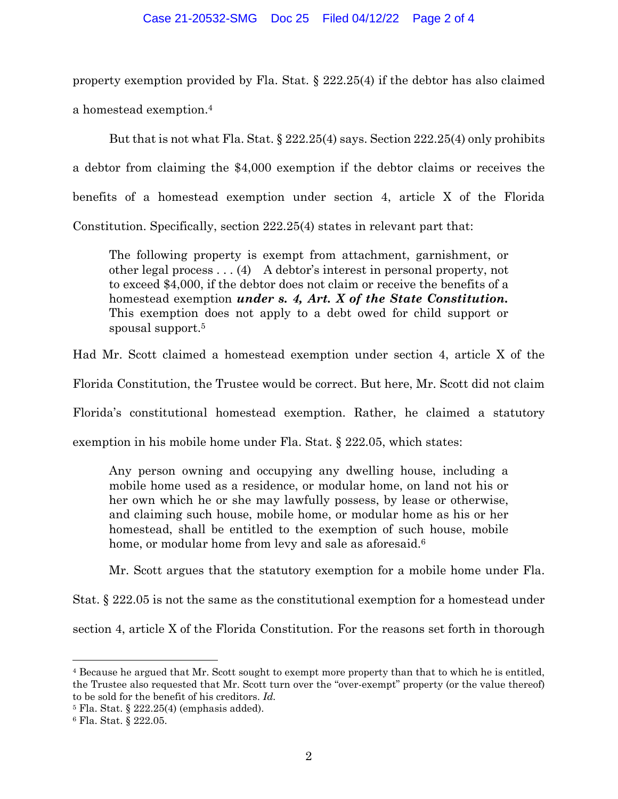## Case 21-20532-SMG Doc 25 Filed 04/12/22 Page 2 of 4

property exemption provided by Fla. Stat. § 222.25(4) if the debtor has also claimed a homestead exemption.<sup>4</sup>

But that is not what Fla. Stat. § 222.25(4) says. Section 222.25(4) only prohibits a debtor from claiming the \$4,000 exemption if the debtor claims or receives the benefits of a homestead exemption under section 4, article X of the Florida Constitution. Specifically, section 222.25(4) states in relevant part that:

The following property is exempt from attachment, garnishment, or other legal process . . . (4) A debtor's interest in personal property, not to exceed \$4,000, if the debtor does not claim or receive the benefits of a homestead exemption *under s. 4, Art. X of the State Constitution.*  This exemption does not apply to a debt owed for child support or spousal support.<sup>5</sup>

Had Mr. Scott claimed a homestead exemption under section 4, article X of the

Florida Constitution, the Trustee would be correct. But here, Mr. Scott did not claim

Florida's constitutional homestead exemption. Rather, he claimed a statutory

exemption in his mobile home under Fla. Stat. § 222.05, which states:

Any person owning and occupying any dwelling house, including a mobile home used as a residence, or modular home, on land not his or her own which he or she may lawfully possess, by lease or otherwise, and claiming such house, mobile home, or modular home as his or her homestead, shall be entitled to the exemption of such house, mobile home, or modular home from levy and sale as aforesaid.<sup>6</sup>

Mr. Scott argues that the statutory exemption for a mobile home under Fla.

Stat. § 222.05 is not the same as the constitutional exemption for a homestead under section 4, article X of the Florida Constitution. For the reasons set forth in thorough

<sup>4</sup> Because he argued that Mr. Scott sought to exempt more property than that to which he is entitled, the Trustee also requested that Mr. Scott turn over the "over-exempt" property (or the value thereof) to be sold for the benefit of his creditors. *Id.*

 $5$  Fla. Stat. § 222.25(4) (emphasis added).

<sup>6</sup> Fla. Stat. § 222.05.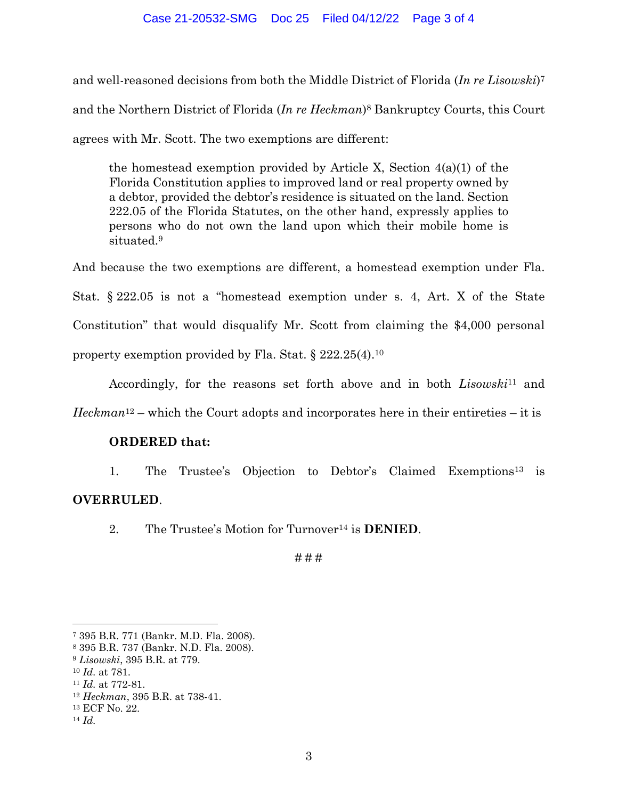and well-reasoned decisions from both the Middle District of Florida (*In re Lisowski*) 7 and the Northern District of Florida (*In re Heckman*) <sup>8</sup> Bankruptcy Courts, this Court agrees with Mr. Scott. The two exemptions are different:

the homestead exemption provided by Article X, Section  $4(a)(1)$  of the Florida Constitution applies to improved land or real property owned by a debtor, provided the debtor's residence is situated on the land. Section 222.05 of the Florida Statutes, on the other hand, expressly applies to persons who do not own the land upon which their mobile home is situated<sup>9</sup>

And because the two exemptions are different, a homestead exemption under Fla. Stat. § 222.05 is not a "homestead exemption under s. 4, Art. X of the State Constitution" that would disqualify Mr. Scott from claiming the \$4,000 personal property exemption provided by Fla. Stat. § 222.25(4).<sup>10</sup>

Accordingly, for the reasons set forth above and in both *Lisowski*<sup>11</sup> and *Heckman*<sup>12</sup> – which the Court adopts and incorporates here in their entireties – it is

## **ORDERED that:**

1. The Trustee's Objection to Debtor's Claimed Exemptions<sup>13</sup> is **OVERRULED**.

2. The Trustee's Motion for Turnover<sup>14</sup> is **DENIED**.

# # #

<sup>7</sup> 395 B.R. 771 (Bankr. M.D. Fla. 2008).

<sup>8</sup> 395 B.R. 737 (Bankr. N.D. Fla. 2008).

<sup>9</sup> *Lisowski*, 395 B.R. at 779.

<sup>10</sup> *Id.* at 781.

<sup>11</sup> *Id.* at 772-81.

<sup>12</sup> *Heckman*, 395 B.R. at 738-41.

<sup>13</sup> ECF No. 22.

<sup>14</sup> *Id.*